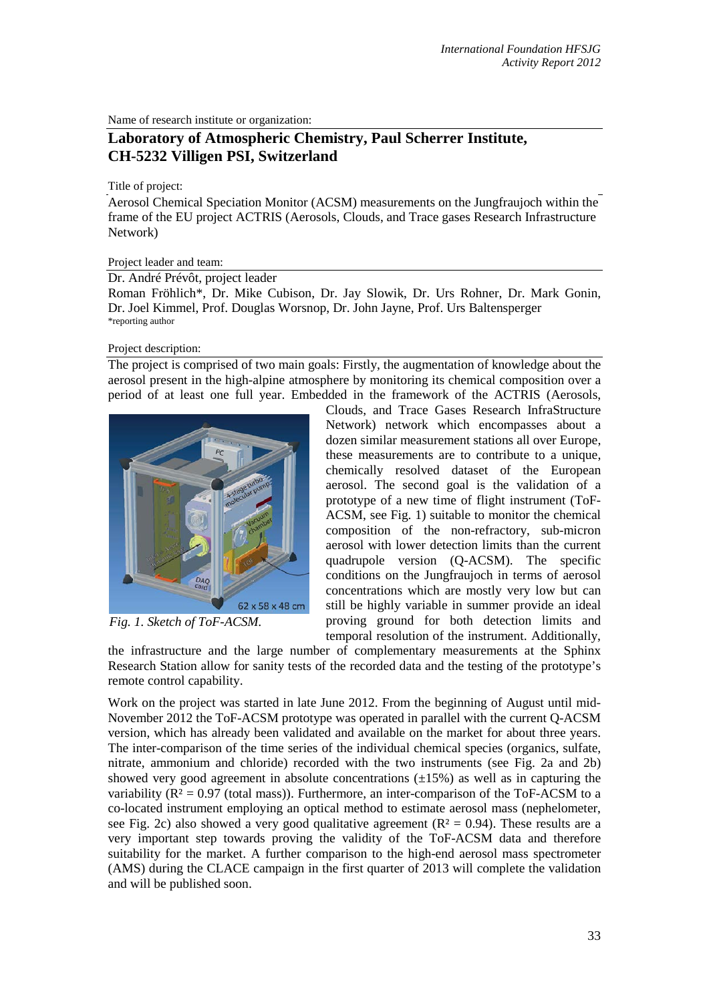Name of research institute or organization:

## **Laboratory of Atmospheric Chemistry, Paul Scherrer Institute, CH-5232 Villigen PSI, Switzerland**

Title of project:

Aerosol Chemical Speciation Monitor (ACSM) measurements on the Jungfraujoch within the frame of the EU project ACTRIS (Aerosols, Clouds, and Trace gases Research Infrastructure Network)

## Project leader and team:

Dr. André Prévôt, project leader

Roman Fröhlich\*, Dr. Mike Cubison, Dr. Jay Slowik, Dr. Urs Rohner, Dr. Mark Gonin, Dr. Joel Kimmel, Prof. Douglas Worsnop, Dr. John Jayne, Prof. Urs Baltensperger \*reporting author

## Project description:

The project is comprised of two main goals: Firstly, the augmentation of knowledge about the aerosol present in the high-alpine atmosphere by monitoring its chemical composition over a period of at least one full year. Embedded in the framework of the ACTRIS (Aerosols,



*Fig. 1. Sketch of ToF-ACSM.*

Clouds, and Trace Gases Research InfraStructure Network) network which encompasses about a dozen similar measurement stations all over Europe, these measurements are to contribute to a unique, chemically resolved dataset of the European aerosol. The second goal is the validation of a prototype of a new time of flight instrument (ToF-ACSM, see Fig. 1) suitable to monitor the chemical composition of the non-refractory, sub-micron aerosol with lower detection limits than the current quadrupole version (Q-ACSM). The specific conditions on the Jungfraujoch in terms of aerosol concentrations which are mostly very low but can still be highly variable in summer provide an ideal proving ground for both detection limits and temporal resolution of the instrument. Additionally,

the infrastructure and the large number of complementary measurements at the Sphinx Research Station allow for sanity tests of the recorded data and the testing of the prototype's remote control capability.

Work on the project was started in late June 2012. From the beginning of August until mid-November 2012 the ToF-ACSM prototype was operated in parallel with the current Q-ACSM version, which has already been validated and available on the market for about three years. The inter-comparison of the time series of the individual chemical species (organics, sulfate, nitrate, ammonium and chloride) recorded with the two instruments (see Fig. 2a and 2b) showed very good agreement in absolute concentrations  $(\pm 15\%)$  as well as in capturing the variability ( $R^2 = 0.97$  (total mass)). Furthermore, an inter-comparison of the ToF-ACSM to a co-located instrument employing an optical method to estimate aerosol mass (nephelometer, see Fig. 2c) also showed a very good qualitative agreement ( $R^2 = 0.94$ ). These results are a very important step towards proving the validity of the ToF-ACSM data and therefore suitability for the market. A further comparison to the high-end aerosol mass spectrometer (AMS) during the CLACE campaign in the first quarter of 2013 will complete the validation and will be published soon.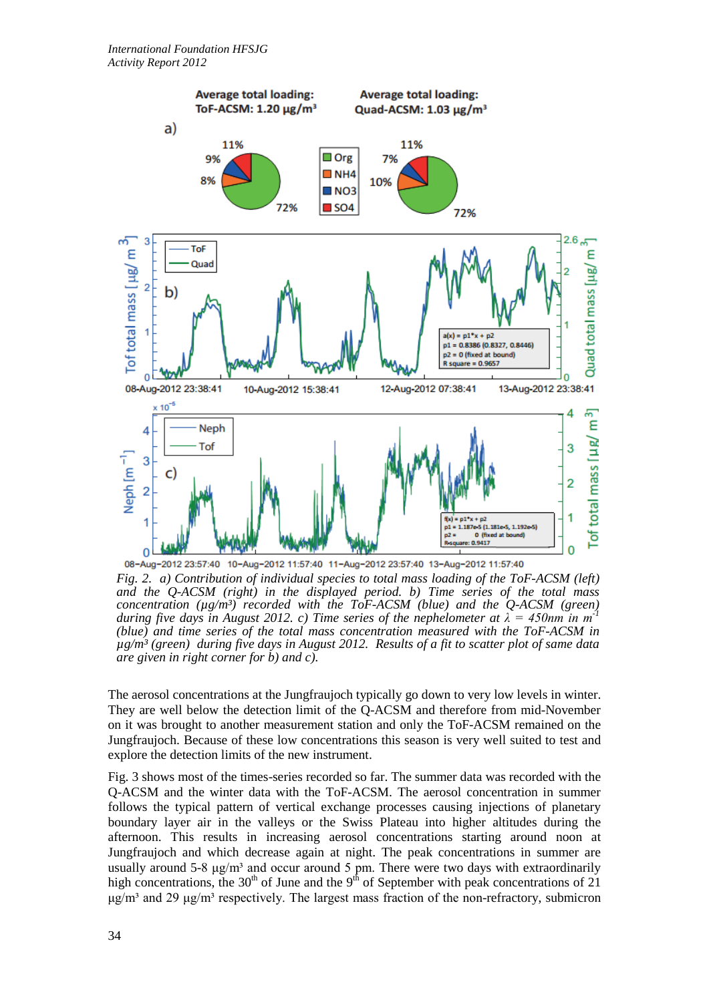

08-Aug-2012 23:57:40 10-Aug-2012 11:57:40 11-Aug-2012 23:57:40 13-Aug-2012 11:57:40 *Fig. 2. a) Contribution of individual species to total mass loading of the ToF-ACSM (left) and the Q-ACSM (right) in the displayed period. b) Time series of the total mass concentration (µg/m³) recorded with the ToF-ACSM (blue) and the Q-ACSM (green) during five days in August 2012. c) Time series of the nephelometer at*  $\lambda = 450$ *nm* in m<sup>-1</sup> *(blue) and time series of the total mass concentration measured with the ToF-ACSM in µg/m³ (green) during five days in August 2012. Results of a fit to scatter plot of same data are given in right corner for b) and c).*

The aerosol concentrations at the Jungfraujoch typically go down to very low levels in winter. They are well below the detection limit of the Q-ACSM and therefore from mid-November on it was brought to another measurement station and only the ToF-ACSM remained on the Jungfraujoch. Because of these low concentrations this season is very well suited to test and explore the detection limits of the new instrument.

Fig. 3 shows most of the times-series recorded so far. The summer data was recorded with the Q-ACSM and the winter data with the ToF-ACSM. The aerosol concentration in summer follows the typical pattern of vertical exchange processes causing injections of planetary boundary layer air in the valleys or the Swiss Plateau into higher altitudes during the afternoon. This results in increasing aerosol concentrations starting around noon at Jungfraujoch and which decrease again at night. The peak concentrations in summer are usually around  $5-8 \mu g/m^3$  and occur around 5 pm. There were two days with extraordinarily high concentrations, the  $30<sup>th</sup>$  of June and the  $9<sup>th</sup>$  of September with peak concentrations of 21 μg/m<sup>3</sup> and 29 μg/m<sup>3</sup> respectively. The largest mass fraction of the non-refractory, submicron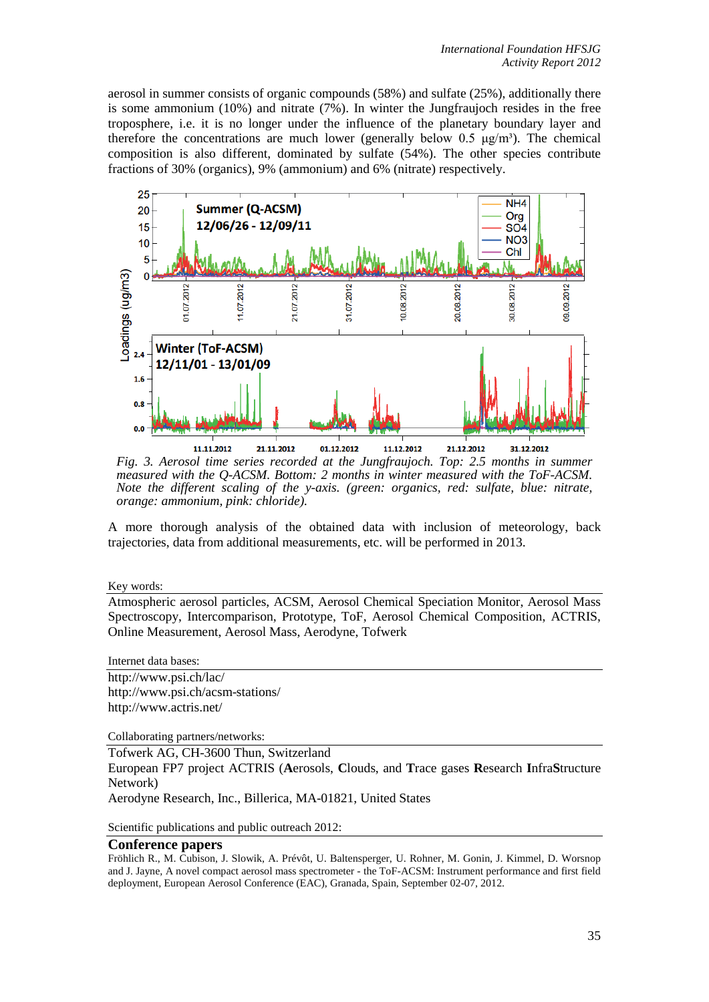aerosol in summer consists of organic compounds (58%) and sulfate (25%), additionally there is some ammonium (10%) and nitrate (7%). In winter the Jungfraujoch resides in the free troposphere, i.e. it is no longer under the influence of the planetary boundary layer and therefore the concentrations are much lower (generally below 0.5  $\mu$ g/m<sup>3</sup>). The chemical composition is also different, dominated by sulfate (54%). The other species contribute fractions of 30% (organics), 9% (ammonium) and 6% (nitrate) respectively.



*Fig. 3. Aerosol time series recorded at the Jungfraujoch. Top: 2.5 months in summer measured with the Q-ACSM. Bottom: 2 months in winter measured with the ToF-ACSM. Note the different scaling of the y-axis. (green: organics, red: sulfate, blue: nitrate, orange: ammonium, pink: chloride).*

A more thorough analysis of the obtained data with inclusion of meteorology, back trajectories, data from additional measurements, etc. will be performed in 2013.

Key words:

Atmospheric aerosol particles, ACSM, Aerosol Chemical Speciation Monitor, Aerosol Mass Spectroscopy, Intercomparison, Prototype, ToF, Aerosol Chemical Composition, ACTRIS, Online Measurement, Aerosol Mass, Aerodyne, Tofwerk

Internet data bases:

http://www.psi.ch/lac/ http://www.psi.ch/acsm-stations/ http://www.actris.net/

Collaborating partners/networks:

Tofwerk AG, CH-3600 Thun, Switzerland European FP7 project ACTRIS (**A**erosols, **C**louds, and **T**race gases **R**esearch **I**nfra**S**tructure Network) Aerodyne Research, Inc., Billerica, MA-01821, United States

Scientific publications and public outreach 2012:

## **Conference papers**

Fröhlich R., M. Cubison, J. Slowik, A. Prévôt, U. Baltensperger, U. Rohner, M. Gonin, J. Kimmel, D. Worsnop and J. Jayne*,* A novel compact aerosol mass spectrometer - the ToF-ACSM: Instrument performance and first field deployment*,* European Aerosol Conference (EAC), Granada, Spain, September 02-07, 2012.